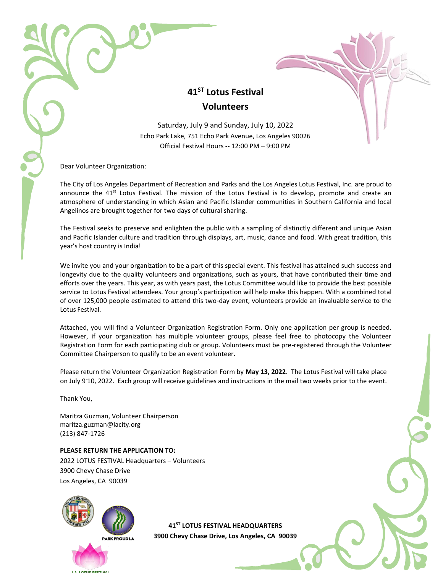## **41ST Lotus Festival Volunteers**

Saturday, July 9 and Sunday, July 10, 2022 Echo Park Lake, 751 Echo Park Avenue, Los Angeles 90026 Official Festival Hours -- 12:00 PM – 9:00 PM

Dear Volunteer Organization:

The City of Los Angeles Department of Recreation and Parks and the Los Angeles Lotus Festival, Inc. are proud to announce the  $41<sup>st</sup>$  Lotus Festival. The mission of the Lotus Festival is to develop, promote and create an atmosphere of understanding in which Asian and Pacific Islander communities in Southern California and local Angelinos are brought together for two days of cultural sharing.

The Festival seeks to preserve and enlighten the public with a sampling of distinctly different and unique Asian and Pacific Islander culture and tradition through displays, art, music, dance and food. With great tradition, this year's host country is India!

We invite you and your organization to be a part of this special event. This festival has attained such success and longevity due to the quality volunteers and organizations, such as yours, that have contributed their time and efforts over the years. This year, as with years past, the Lotus Committee would like to provide the best possible service to Lotus Festival attendees. Your group's participation will help make this happen. With a combined total of over 125,000 people estimated to attend this two-day event, volunteers provide an invaluable service to the Lotus Festival.

Attached, you will find a Volunteer Organization Registration Form. Only one application per group is needed. However, if your organization has multiple volunteer groups, please feel free to photocopy the Volunteer Registration Form for each participating club or group. Volunteers must be pre-registered through the Volunteer Committee Chairperson to qualify to be an event volunteer.

Please return the Volunteer Organization Registration Form by **May 13, 2022**. The Lotus Festival will take place on July 9-10, 2022. Each group will receive guidelines and instructions in the mail two weeks prior to the event.

Thank You,

Maritza Guzman, Volunteer Chairperso[n](mailto:maritza.guzman@lacity.org) [maritza.guzman@lacity.org](mailto:maritza.guzman@lacity.org) (213) 847-1726

**PLEASE RETURN THE APPLICATION TO:** 2022 LOTUS FESTIVAL Headquarters – Volunteers 3900 Chevy Chase Drive Los Angeles, CA 90039



**41ST LOTUS FESTIVAL HEADQUARTERS 3900 Chevy Chase Drive, Los Angeles, CA 90039**